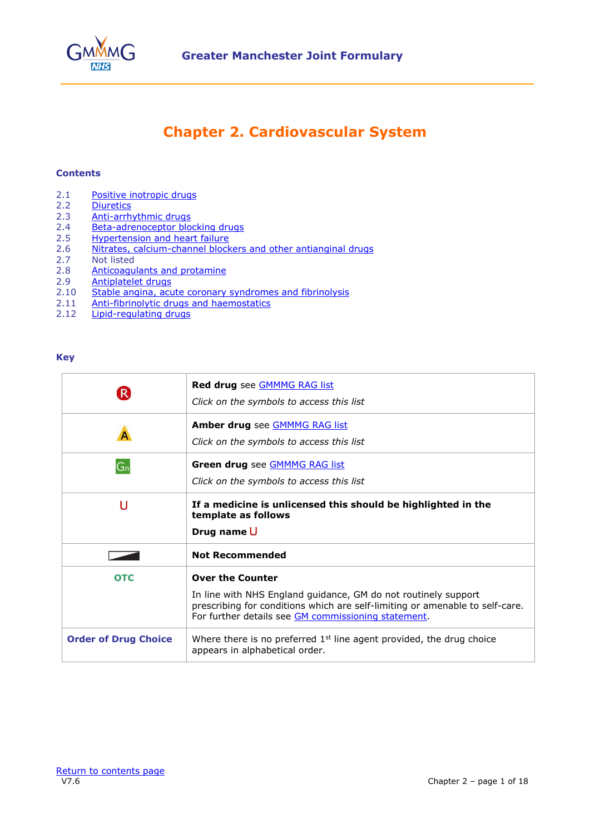

# **Chapter 2. Cardiovascular System**

#### <span id="page-0-0"></span>**Contents**

- 2.1 [Positive inotropic drugs](#page-2-0)
- 2.2 [Diuretics](#page-2-1)<br>2.3 Anti-arrh
- 2.3 [Anti-arrhythmic drugs](#page-4-0)
- 2.4 [Beta-adrenoceptor blocking drugs](#page-5-0)<br>2.5 Hypertension and heart failure
- 2.5 [Hypertension and heart failure](#page-6-0)<br>2.6 Nitrates, calcium-channel block
- 2.6 [Nitrates, calcium-channel blockers and other antianginal drugs](#page-9-0)<br>2.7 Not listed
- **Not listed**
- 2.8 [Anticoagulants](#page-11-0) and protamine
- 2.9 [Antiplatelet drugs](#page-14-0)
- 2.10 [Stable angina, acute coronary syndromes and fibrinolysis](#page-15-0)
- 2.11 [Anti-fibrinolytic drugs and haemostatics](#page-15-1)
- 2.12 [Lipid-regulating drugs](#page-16-0)

#### **Key**

| $\left( \mathsf{R}\right)$  | Red drug see GMMMG RAG list<br>Click on the symbols to access this list                                                                                                                                                          |
|-----------------------------|----------------------------------------------------------------------------------------------------------------------------------------------------------------------------------------------------------------------------------|
|                             | <b>Amber drug</b> see <b>GMMMG RAG list</b><br>Click on the symbols to access this list                                                                                                                                          |
| $G_n$                       | Green drug see <b>GMMMG RAG list</b><br>Click on the symbols to access this list                                                                                                                                                 |
| U                           | If a medicine is unlicensed this should be highlighted in the<br>template as follows<br>Drug name U                                                                                                                              |
|                             | <b>Not Recommended</b>                                                                                                                                                                                                           |
| <b>OTC</b>                  | <b>Over the Counter</b><br>In line with NHS England guidance, GM do not routinely support<br>prescribing for conditions which are self-limiting or amenable to self-care.<br>For further details see GM commissioning statement. |
| <b>Order of Drug Choice</b> | Where there is no preferred $1st$ line agent provided, the drug choice<br>appears in alphabetical order.                                                                                                                         |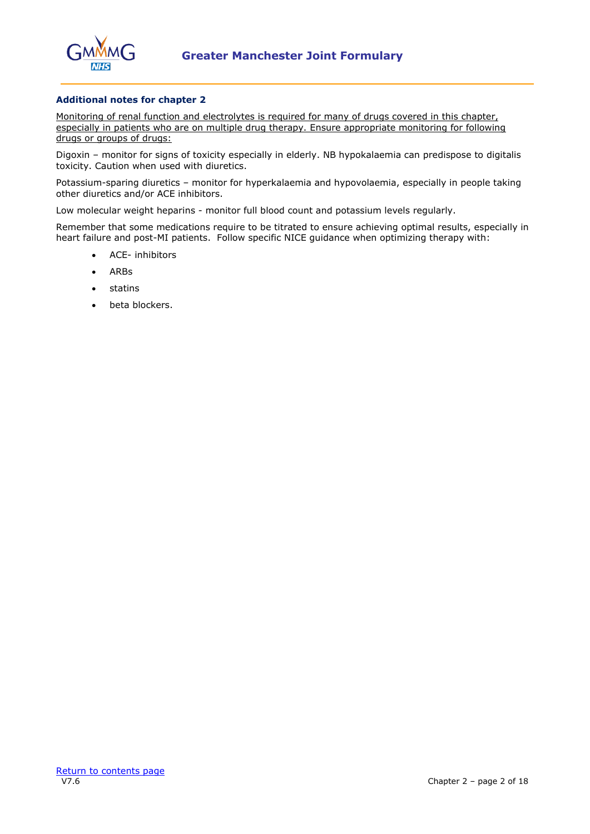

## **Additional notes for chapter 2**

Monitoring of renal function and electrolytes is required for many of drugs covered in this chapter, especially in patients who are on multiple drug therapy. Ensure appropriate monitoring for following drugs or groups of drugs:

Digoxin – monitor for signs of toxicity especially in elderly. NB hypokalaemia can predispose to digitalis toxicity. Caution when used with diuretics.

Potassium-sparing diuretics – monitor for hyperkalaemia and hypovolaemia, especially in people taking other diuretics and/or ACE inhibitors.

Low molecular weight heparins - monitor full blood count and potassium levels regularly.

Remember that some medications require to be titrated to ensure achieving optimal results, especially in heart failure and post-MI patients. Follow specific NICE guidance when optimizing therapy with:

- ACE- inhibitors
- ARBs
- statins
- beta blockers.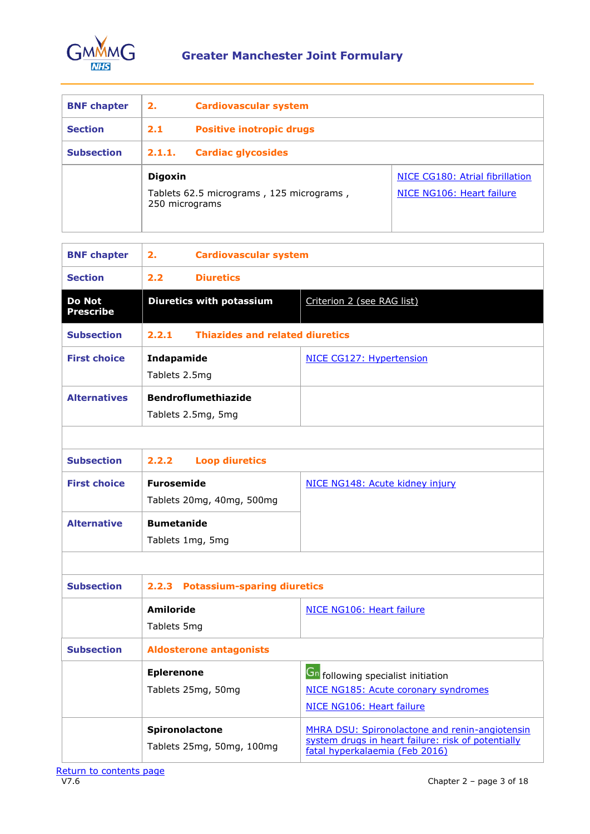

<span id="page-2-0"></span>

| <b>BNF chapter</b> | 2.                               | <b>Cardiovascular system</b>             |                                                              |
|--------------------|----------------------------------|------------------------------------------|--------------------------------------------------------------|
| <b>Section</b>     | 2.1                              | <b>Positive inotropic drugs</b>          |                                                              |
| <b>Subsection</b>  | 2.1.1.                           | <b>Cardiac glycosides</b>                |                                                              |
|                    | <b>Digoxin</b><br>250 micrograms | Tablets 62.5 micrograms, 125 micrograms, | NICE CG180: Atrial fibrillation<br>NICE NG106: Heart failure |

<span id="page-2-1"></span>

| <b>BNF chapter</b>                | 2.<br><b>Cardiovascular system</b>               |                                                                                                                                        |
|-----------------------------------|--------------------------------------------------|----------------------------------------------------------------------------------------------------------------------------------------|
| <b>Section</b>                    | <b>Diuretics</b><br>2.2                          |                                                                                                                                        |
| <b>Do Not</b><br><b>Prescribe</b> | <b>Diuretics with potassium</b>                  | Criterion 2 (see RAG list)                                                                                                             |
| <b>Subsection</b>                 | <b>Thiazides and related diuretics</b><br>2.2.1  |                                                                                                                                        |
| <b>First choice</b>               | Indapamide<br>Tablets 2.5mg                      | NICE CG127: Hypertension                                                                                                               |
| <b>Alternatives</b>               | <b>Bendroflumethiazide</b><br>Tablets 2.5mg, 5mg |                                                                                                                                        |
|                                   |                                                  |                                                                                                                                        |
| <b>Subsection</b>                 | 2.2.2<br><b>Loop diuretics</b>                   |                                                                                                                                        |
| <b>First choice</b>               | <b>Furosemide</b><br>Tablets 20mg, 40mg, 500mg   | NICE NG148: Acute kidney injury                                                                                                        |
| <b>Alternative</b>                | <b>Bumetanide</b><br>Tablets 1mg, 5mg            |                                                                                                                                        |
|                                   |                                                  |                                                                                                                                        |
| <b>Subsection</b>                 | <b>Potassium-sparing diuretics</b><br>2.2.3      |                                                                                                                                        |
|                                   | <b>Amiloride</b><br>Tablets 5mg                  | NICE NG106: Heart failure                                                                                                              |
| <b>Subsection</b>                 | <b>Aldosterone antagonists</b>                   |                                                                                                                                        |
|                                   | <b>Eplerenone</b><br>Tablets 25mg, 50mg          | <b>Gn</b> following specialist initiation<br>NICE NG185: Acute coronary syndromes<br>NICE NG106: Heart failure                         |
|                                   | Spironolactone<br>Tablets 25mg, 50mg, 100mg      | MHRA DSU: Spironolactone and renin-angiotensin<br>system drugs in heart failure: risk of potentially<br>fatal hyperkalaemia (Feb 2016) |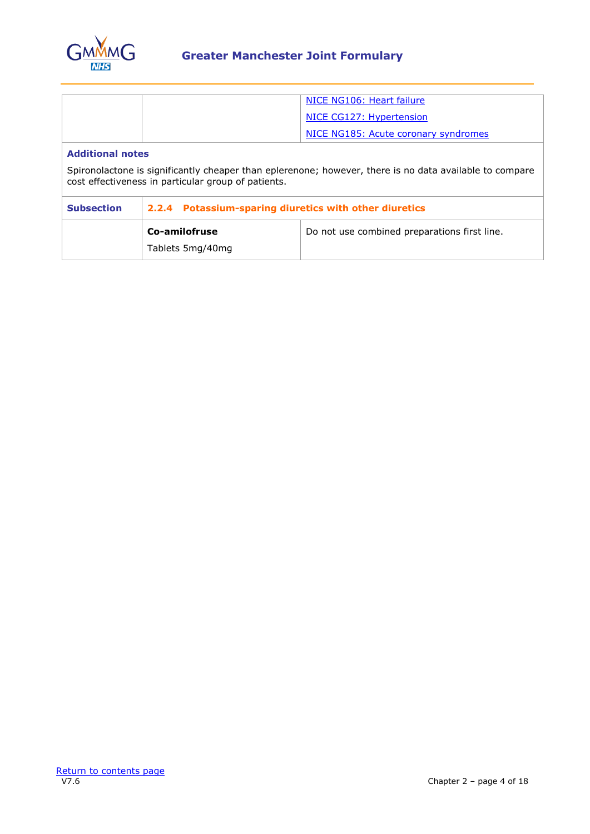

|                                                                                                                                                                |                                                        | NICE NG106: Heart failure                    |  |
|----------------------------------------------------------------------------------------------------------------------------------------------------------------|--------------------------------------------------------|----------------------------------------------|--|
|                                                                                                                                                                |                                                        | NICE CG127: Hypertension                     |  |
|                                                                                                                                                                |                                                        | NICE NG185: Acute coronary syndromes         |  |
| <b>Additional notes</b>                                                                                                                                        |                                                        |                                              |  |
| Spironolactone is significantly cheaper than eplerenone; however, there is no data available to compare<br>cost effectiveness in particular group of patients. |                                                        |                                              |  |
| <b>Subsection</b>                                                                                                                                              | 2.2.4 Potassium-sparing diuretics with other diuretics |                                              |  |
|                                                                                                                                                                | Co-amilofruse                                          | Do not use combined preparations first line. |  |
|                                                                                                                                                                |                                                        |                                              |  |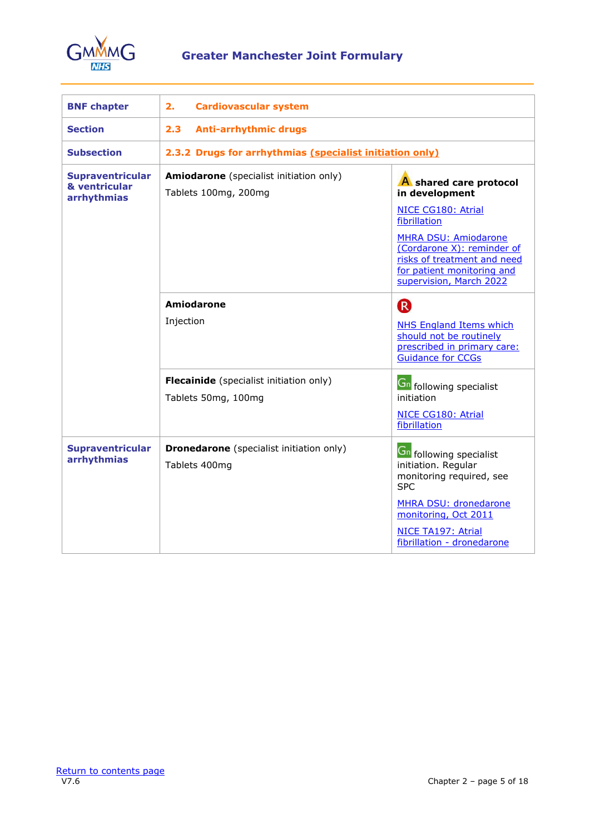

<span id="page-4-0"></span>

| <b>BNF chapter</b>                               | 2.<br><b>Cardiovascular system</b>                               |                                                                                                                                                   |
|--------------------------------------------------|------------------------------------------------------------------|---------------------------------------------------------------------------------------------------------------------------------------------------|
| <b>Section</b>                                   | 2.3<br><b>Anti-arrhythmic drugs</b>                              |                                                                                                                                                   |
| <b>Subsection</b>                                | 2.3.2 Drugs for arrhythmias (specialist initiation only)         |                                                                                                                                                   |
| Supraventricular<br>& ventricular<br>arrhythmias | Amiodarone (specialist initiation only)<br>Tablets 100mg, 200mg  | A shared care protocol<br>in development                                                                                                          |
|                                                  |                                                                  | NICE CG180: Atrial<br>fibrillation                                                                                                                |
|                                                  |                                                                  | <b>MHRA DSU: Amiodarone</b><br>(Cordarone X): reminder of<br>risks of treatment and need<br>for patient monitoring and<br>supervision, March 2022 |
|                                                  | Amiodarone                                                       | <sup>R</sup>                                                                                                                                      |
|                                                  | Injection                                                        | NHS England Items which<br>should not be routinely<br>prescribed in primary care:<br><b>Guidance for CCGs</b>                                     |
|                                                  | Flecainide (specialist initiation only)<br>Tablets 50mg, 100mg   | <b>Gn</b> following specialist<br>initiation                                                                                                      |
|                                                  |                                                                  | NICE CG180: Atrial<br>fibrillation                                                                                                                |
| <b>Supraventricular</b><br>arrhythmias           | <b>Dronedarone</b> (specialist initiation only)<br>Tablets 400mg | <b>Gn</b> following specialist<br>initiation. Regular<br>monitoring required, see<br><b>SPC</b>                                                   |
|                                                  |                                                                  | <b>MHRA DSU: dronedarone</b><br>monitoring, Oct 2011                                                                                              |
|                                                  |                                                                  | NICE TA197: Atrial<br>fibrillation - dronedarone                                                                                                  |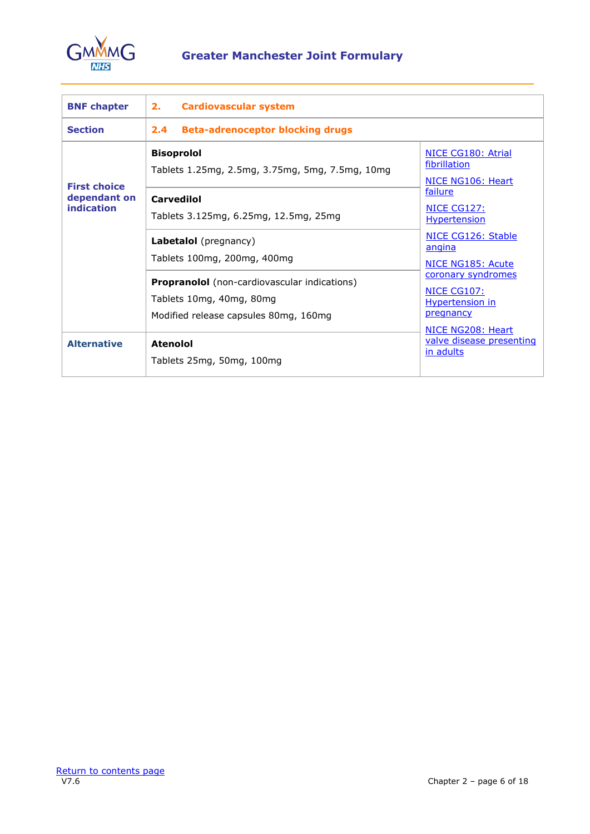

<span id="page-5-0"></span>

| <b>BNF chapter</b>                | 2.<br><b>Cardiovascular system</b>                                                                                       |                                                                          |  |
|-----------------------------------|--------------------------------------------------------------------------------------------------------------------------|--------------------------------------------------------------------------|--|
| <b>Section</b>                    | <b>Beta-adrenoceptor blocking drugs</b><br>2.4                                                                           |                                                                          |  |
| <b>First choice</b>               | <b>Bisoprolol</b><br>Tablets 1.25mg, 2.5mg, 3.75mg, 5mg, 7.5mg, 10mg                                                     | NICE CG180: Atrial<br>fibrillation<br>NICE NG106: Heart<br>failure       |  |
| dependant on<br><b>indication</b> | <b>Carvedilol</b><br>Tablets 3.125mg, 6.25mg, 12.5mg, 25mg                                                               | NICE CG127:<br><b>Hypertension</b>                                       |  |
|                                   | Labetalol (pregnancy)<br>Tablets 100mg, 200mg, 400mg                                                                     | NICE CG126: Stable<br>angina<br><b>NICE NG185: Acute</b>                 |  |
|                                   | <b>Propranolol</b> (non-cardiovascular indications)<br>Tablets 10mg, 40mg, 80mg<br>Modified release capsules 80mg, 160mg | coronary syndromes<br>NICE CG107:<br><b>Hypertension in</b><br>pregnancy |  |
| <b>Alternative</b>                | <b>Atenolol</b><br>Tablets 25mg, 50mg, 100mg                                                                             | NICE NG208: Heart<br>valve disease presenting<br>in adults               |  |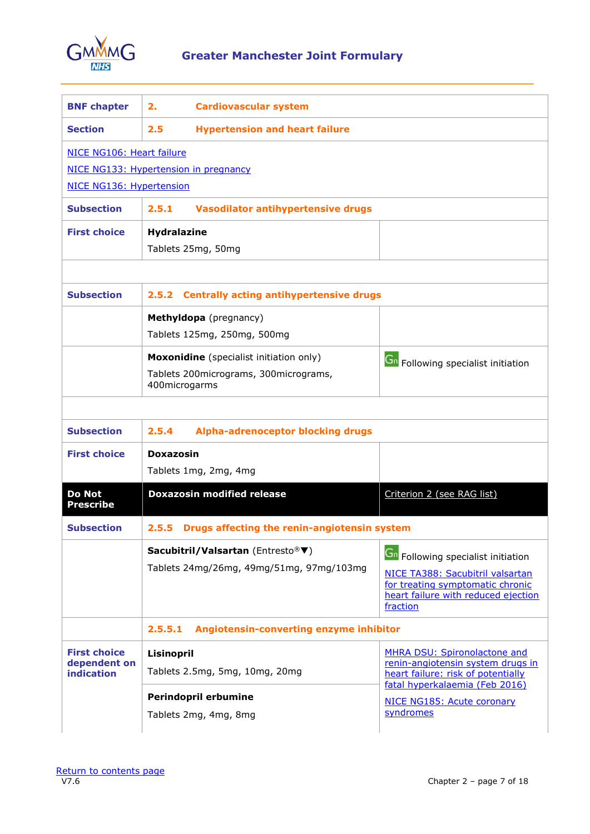

<span id="page-6-0"></span>

| <b>BNF chapter</b>                       | <b>Cardiovascular system</b><br>2.                                    |                                                                                                           |
|------------------------------------------|-----------------------------------------------------------------------|-----------------------------------------------------------------------------------------------------------|
| <b>Section</b>                           | 2.5<br><b>Hypertension and heart failure</b>                          |                                                                                                           |
| NICE NG106: Heart failure                |                                                                       |                                                                                                           |
|                                          | NICE NG133: Hypertension in pregnancy                                 |                                                                                                           |
| NICE NG136: Hypertension                 |                                                                       |                                                                                                           |
| <b>Subsection</b>                        | 2.5.1<br>Vasodilator antihypertensive drugs                           |                                                                                                           |
| <b>First choice</b>                      | <b>Hydralazine</b>                                                    |                                                                                                           |
|                                          | Tablets 25mg, 50mg                                                    |                                                                                                           |
|                                          |                                                                       |                                                                                                           |
| <b>Subsection</b>                        | <b>Centrally acting antihypertensive drugs</b><br>2.5.2               |                                                                                                           |
|                                          | Methyldopa (pregnancy)                                                |                                                                                                           |
|                                          | Tablets 125mg, 250mg, 500mg                                           |                                                                                                           |
|                                          | Moxonidine (specialist initiation only)                               | <b>Gn</b> Following specialist initiation                                                                 |
|                                          | Tablets 200micrograms, 300micrograms,<br>400microgarms                |                                                                                                           |
| <b>Subsection</b><br><b>First choice</b> | 2.5.4<br><b>Alpha-adrenoceptor blocking drugs</b><br><b>Doxazosin</b> |                                                                                                           |
|                                          |                                                                       |                                                                                                           |
|                                          | Tablets 1mg, 2mg, 4mg                                                 |                                                                                                           |
| Do Not<br>Prescribe                      | <b>Doxazosin modified release</b>                                     | Criterion 2 (see RAG list)                                                                                |
| <b>Subsection</b>                        | 2.5.5 Drugs affecting the renin-angiotensin system                    |                                                                                                           |
|                                          | Sacubitril/Valsartan (Entresto® ▼)                                    | <b>Gn</b> Following specialist initiation                                                                 |
|                                          | Tablets 24mg/26mg, 49mg/51mg, 97mg/103mg                              | NICE TA388: Sacubitril valsartan                                                                          |
|                                          |                                                                       | for treating symptomatic chronic<br>heart failure with reduced ejection                                   |
|                                          |                                                                       | fraction                                                                                                  |
|                                          | Angiotensin-converting enzyme inhibitor<br>2.5.5.1                    |                                                                                                           |
| <b>First choice</b>                      | Lisinopril                                                            | <b>MHRA DSU: Spironolactone and</b>                                                                       |
| dependent on<br>indication               | Tablets 2.5mg, 5mg, 10mg, 20mg                                        | renin-angiotensin system drugs in<br>heart failure: risk of potentially<br>fatal hyperkalaemia (Feb 2016) |
|                                          | Perindopril erbumine                                                  | NICE NG185: Acute coronary                                                                                |
|                                          | Tablets 2mg, 4mg, 8mg                                                 | syndromes                                                                                                 |
|                                          |                                                                       |                                                                                                           |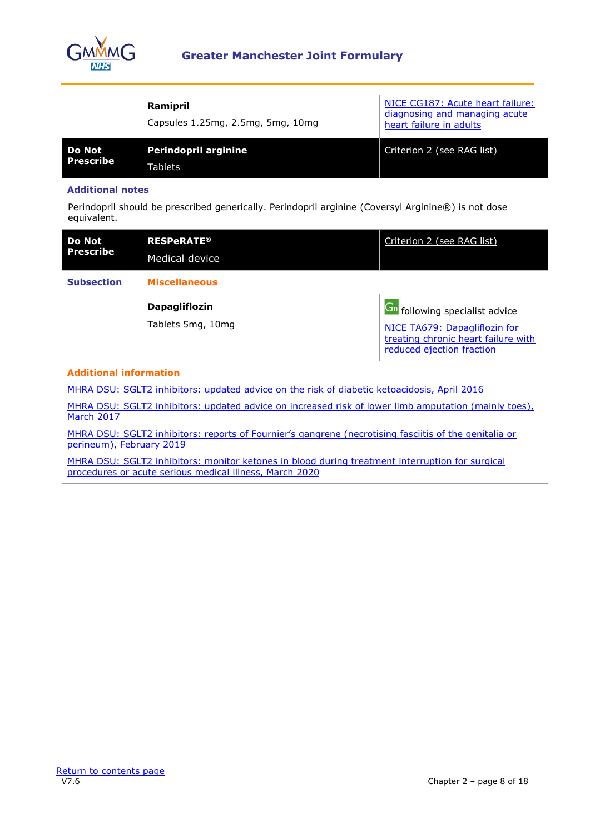

|                     | Ramipril<br>Capsules 1.25mg, 2.5mg, 5mg, 10mg | NICE CG187: Acute heart failure:<br>diagnosing and managing acute<br>heart failure in adults |
|---------------------|-----------------------------------------------|----------------------------------------------------------------------------------------------|
| Do Not<br>Prescribe | <b>Perindopril arginine</b><br>Tablets        | Criterion 2 (see RAG list)                                                                   |

# **Additional notes**

Perindopril should be prescribed generically. Perindopril arginine (Coversyl Arginine®) is not dose equivalent.

| <b>Do Not</b><br>Prescribe                                                                                                        | <b>RESPeRATE®</b><br>Medical device       | Criterion 2 (see RAG list)                                                                                                                 |
|-----------------------------------------------------------------------------------------------------------------------------------|-------------------------------------------|--------------------------------------------------------------------------------------------------------------------------------------------|
| <b>Subsection</b>                                                                                                                 | <b>Miscellaneous</b>                      |                                                                                                                                            |
|                                                                                                                                   | <b>Dapagliflozin</b><br>Tablets 5mg, 10mg | <b>Gn</b> following specialist advice<br>NICE TA679: Dapagliflozin for<br>treating chronic heart failure with<br>reduced ejection fraction |
| <b>Additional information</b><br>MHRA DSU: SGLT2 inhibitors: updated advice on the risk of diabetic ketoacidosis, April 2016      |                                           |                                                                                                                                            |
| MHRA DSU: SGLT2 inhibitors: updated advice on increased risk of lower limb amputation (mainly toes),<br>March 2017                |                                           |                                                                                                                                            |
| MHRA DSU: SGLT2 inhibitors: reports of Fournier's gangrene (necrotising fasciitis of the genitalia or<br>perineum), February 2019 |                                           |                                                                                                                                            |

[MHRA DSU: SGLT2 inhibitors: monitor ketones in blood during treatment interruption for surgical](https://www.gov.uk/drug-safety-update/sglt2-inhibitors-monitor-ketones-in-blood-during-treatment-interruption-for-surgical-procedures-or-acute-serious-medical-illness)  [procedures or acute serious medical illness, March 2020](https://www.gov.uk/drug-safety-update/sglt2-inhibitors-monitor-ketones-in-blood-during-treatment-interruption-for-surgical-procedures-or-acute-serious-medical-illness)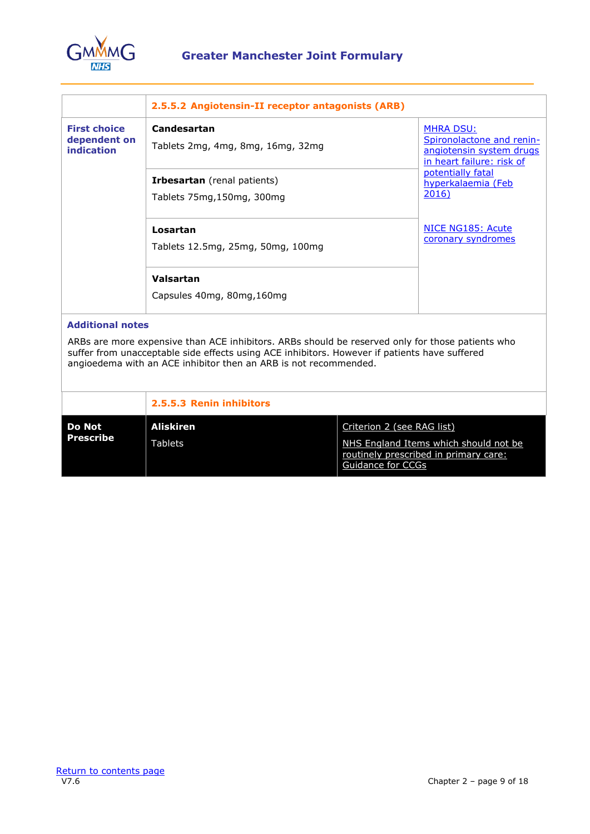

|                                                   | 2.5.5.2 Angiotensin-II receptor antagonists (ARB)                                                                                                                                                                                                                     |                                                                                                        |  |
|---------------------------------------------------|-----------------------------------------------------------------------------------------------------------------------------------------------------------------------------------------------------------------------------------------------------------------------|--------------------------------------------------------------------------------------------------------|--|
| <b>First choice</b><br>dependent on<br>indication | Candesartan<br>Tablets 2mg, 4mg, 8mg, 16mg, 32mg                                                                                                                                                                                                                      | <b>MHRA DSU:</b><br>Spironolactone and renin-<br>angiotensin system drugs<br>in heart failure: risk of |  |
|                                                   | <b>Irbesartan</b> (renal patients)<br>Tablets 75mg,150mg, 300mg                                                                                                                                                                                                       | potentially fatal<br>hyperkalaemia (Feb<br>2016)                                                       |  |
|                                                   | Losartan<br>Tablets 12.5mg, 25mg, 50mg, 100mg                                                                                                                                                                                                                         | NICE NG185: Acute<br>coronary syndromes                                                                |  |
|                                                   | Valsartan<br>Capsules 40mg, 80mg, 160mg                                                                                                                                                                                                                               |                                                                                                        |  |
| <b>Additional notes</b>                           | ARBs are more expensive than ACE inhibitors. ARBs should be reserved only for those patients who<br>suffer from unacceptable side effects using ACE inhibitors. However if patients have suffered<br>angioedema with an ACE inhibitor then an ARB is not recommended. |                                                                                                        |  |

|                     | 2.5.5.3 Renin inhibitors |                                                                                                     |
|---------------------|--------------------------|-----------------------------------------------------------------------------------------------------|
| Do Not<br>Prescribe | Aliskiren                | Criterion 2 (see RAG list)                                                                          |
|                     | Tablets                  | NHS England Items which should not be<br>routinely prescribed in primary care:<br>Guidance for CCGs |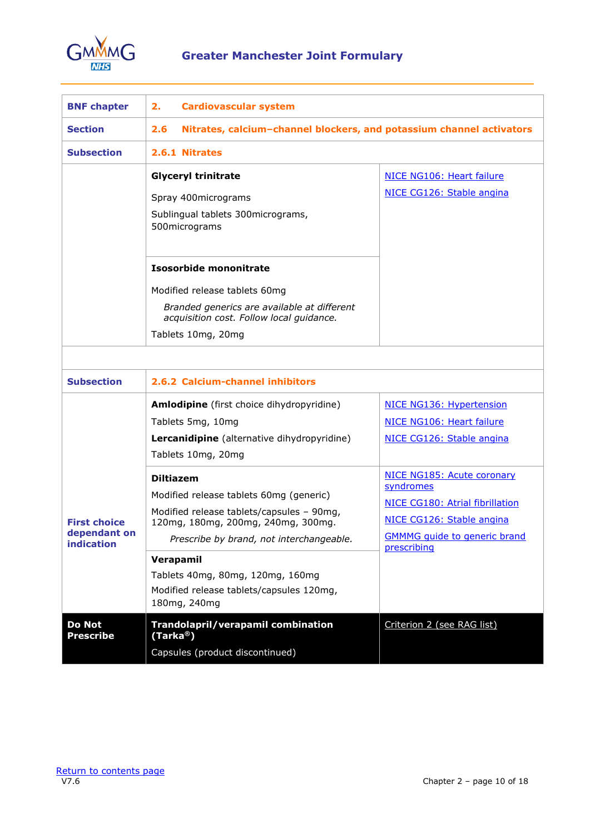

<span id="page-9-0"></span>

| <b>BNF chapter</b>                                | 2.<br><b>Cardiovascular system</b>                                                                                                                                                                                                                                                                      |                                                                                                                                                               |
|---------------------------------------------------|---------------------------------------------------------------------------------------------------------------------------------------------------------------------------------------------------------------------------------------------------------------------------------------------------------|---------------------------------------------------------------------------------------------------------------------------------------------------------------|
| <b>Section</b>                                    | Nitrates, calcium-channel blockers, and potassium channel activators<br>2.6                                                                                                                                                                                                                             |                                                                                                                                                               |
| <b>Subsection</b>                                 | 2.6.1 Nitrates                                                                                                                                                                                                                                                                                          |                                                                                                                                                               |
|                                                   | <b>Glyceryl trinitrate</b><br>Spray 400micrograms<br>Sublingual tablets 300micrograms,<br>500micrograms<br><b>Isosorbide mononitrate</b><br>Modified release tablets 60mg<br>Branded generics are available at different<br>acquisition cost. Follow local guidance.<br>Tablets 10mg, 20mg              | NICE NG106: Heart failure<br>NICE CG126: Stable angina                                                                                                        |
|                                                   |                                                                                                                                                                                                                                                                                                         |                                                                                                                                                               |
| <b>Subsection</b>                                 | 2.6.2 Calcium-channel inhibitors                                                                                                                                                                                                                                                                        |                                                                                                                                                               |
|                                                   | Amlodipine (first choice dihydropyridine)<br>Tablets 5mg, 10mg<br>Lercanidipine (alternative dihydropyridine)<br>Tablets 10mg, 20mg                                                                                                                                                                     | NICE NG136: Hypertension<br>NICE NG106: Heart failure<br>NICE CG126: Stable angina                                                                            |
| <b>First choice</b><br>dependant on<br>indication | <b>Diltiazem</b><br>Modified release tablets 60mg (generic)<br>Modified release tablets/capsules - 90mg,<br>120mg, 180mg, 200mg, 240mg, 300mg.<br>Prescribe by brand, not interchangeable.<br>Verapamil<br>Tablets 40mg, 80mg, 120mg, 160mg<br>Modified release tablets/capsules 120mg,<br>180mg, 240mg | NICE NG185: Acute coronary<br>syndromes<br>NICE CG180: Atrial fibrillation<br>NICE CG126: Stable angina<br><b>GMMMG</b> guide to generic brand<br>prescribing |
| Do Not<br><b>Prescribe</b>                        | Trandolapril/verapamil combination<br>(Tarka <sup>®</sup> )<br>Capsules (product discontinued)                                                                                                                                                                                                          | Criterion 2 (see RAG list)                                                                                                                                    |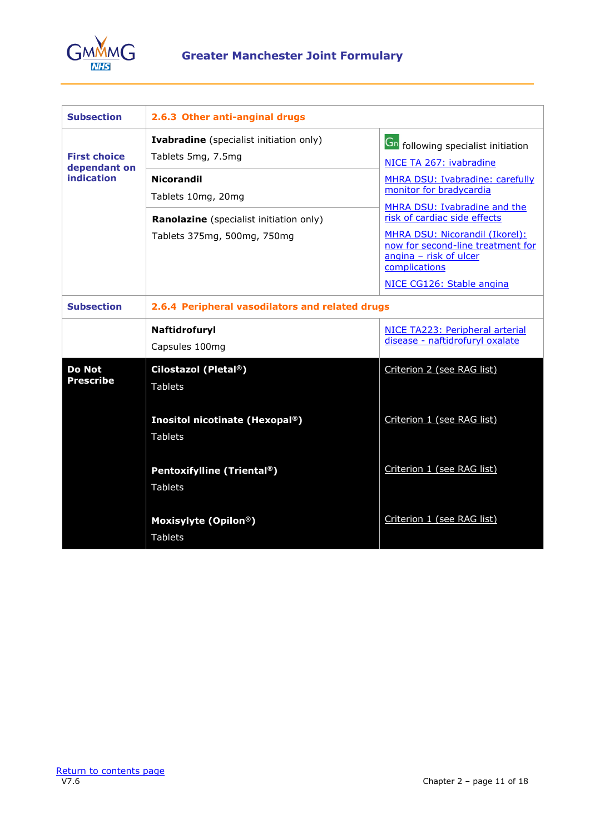

| <b>Subsection</b>                                        | 2.6.3 Other anti-anginal drugs                                                                                                                                                            |                                                                                                                                                                                                                                                                                                                                                   |  |
|----------------------------------------------------------|-------------------------------------------------------------------------------------------------------------------------------------------------------------------------------------------|---------------------------------------------------------------------------------------------------------------------------------------------------------------------------------------------------------------------------------------------------------------------------------------------------------------------------------------------------|--|
| <b>First choice</b><br>dependant on<br><b>indication</b> | <b>Ivabradine</b> (specialist initiation only)<br>Tablets 5mg, 7.5mg<br><b>Nicorandil</b><br>Tablets 10mg, 20mg<br>Ranolazine (specialist initiation only)<br>Tablets 375mg, 500mg, 750mg | <b>Gn</b> following specialist initiation<br>NICE TA 267: ivabradine<br>MHRA DSU: Ivabradine: carefully<br>monitor for bradycardia<br>MHRA DSU: Ivabradine and the<br>risk of cardiac side effects<br>MHRA DSU: Nicorandil (Ikorel):<br>now for second-line treatment for<br>angina - risk of ulcer<br>complications<br>NICE CG126: Stable angina |  |
| <b>Subsection</b>                                        | 2.6.4 Peripheral vasodilators and related drugs                                                                                                                                           |                                                                                                                                                                                                                                                                                                                                                   |  |
|                                                          | Naftidrofuryl<br>Capsules 100mg                                                                                                                                                           | NICE TA223: Peripheral arterial<br>disease - naftidrofuryl oxalate                                                                                                                                                                                                                                                                                |  |
| <b>Do Not</b><br><b>Prescribe</b>                        | Cilostazol (Pletal®)<br><b>Tablets</b><br>Inositol nicotinate (Hexopal®)<br><b>Tablets</b>                                                                                                | Criterion 2 (see RAG list)<br>Criterion 1 (see RAG list)                                                                                                                                                                                                                                                                                          |  |
|                                                          | Pentoxifylline (Triental®)<br><b>Tablets</b>                                                                                                                                              | Criterion 1 (see RAG list)                                                                                                                                                                                                                                                                                                                        |  |
|                                                          | Moxisylyte (Opilon®)<br><b>Tablets</b>                                                                                                                                                    | Criterion 1 (see RAG list)                                                                                                                                                                                                                                                                                                                        |  |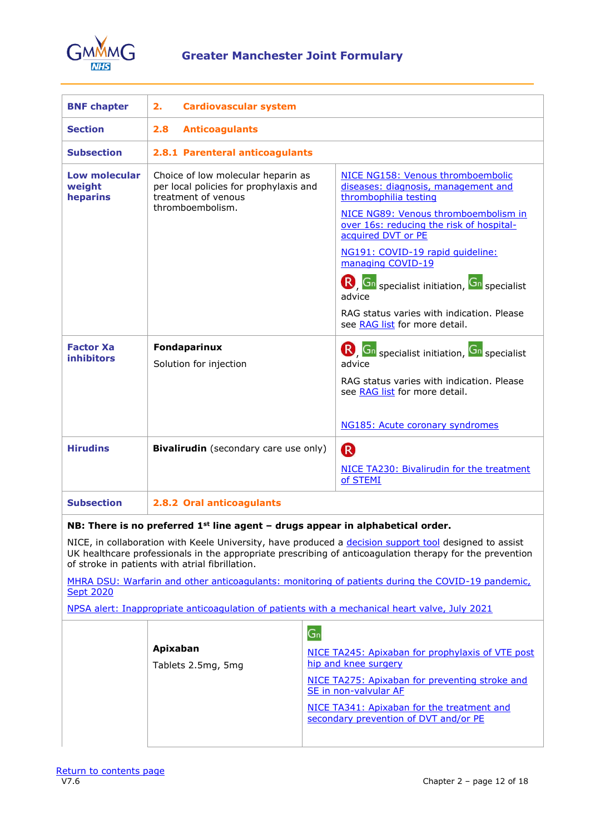

<span id="page-11-0"></span>

| <b>BNF chapter</b>                         | 2.<br><b>Cardiovascular system</b>                                                                                      |                                                                                                                                                                                                                                                                                                                                                                                                                    |  |
|--------------------------------------------|-------------------------------------------------------------------------------------------------------------------------|--------------------------------------------------------------------------------------------------------------------------------------------------------------------------------------------------------------------------------------------------------------------------------------------------------------------------------------------------------------------------------------------------------------------|--|
| <b>Section</b>                             | <b>Anticoagulants</b><br>2.8                                                                                            |                                                                                                                                                                                                                                                                                                                                                                                                                    |  |
| <b>Subsection</b>                          | 2.8.1 Parenteral anticoagulants                                                                                         |                                                                                                                                                                                                                                                                                                                                                                                                                    |  |
| <b>Low molecular</b><br>weight<br>heparins | Choice of low molecular heparin as<br>per local policies for prophylaxis and<br>treatment of venous<br>thromboembolism. | NICE NG158: Venous thromboembolic<br>diseases: diagnosis, management and<br>thrombophilia testing<br>NICE NG89: Venous thromboembolism in<br>over 16s: reducing the risk of hospital-<br>acquired DVT or PE<br>NG191: COVID-19 rapid quideline:<br>managing COVID-19<br><b>R</b> , Gn specialist initiation, Gn specialist<br>advice<br>RAG status varies with indication. Please<br>see RAG list for more detail. |  |
| <b>Factor Xa</b><br><b>inhibitors</b>      | Fondaparinux<br>Solution for injection                                                                                  | R, Gn specialist initiation, Gn specialist<br>advice<br>RAG status varies with indication. Please<br>see RAG list for more detail.<br>NG185: Acute coronary syndromes                                                                                                                                                                                                                                              |  |
| <b>Hirudins</b>                            | <b>Bivalirudin</b> (secondary care use only)                                                                            | <sup>R</sup><br>NICE TA230: Bivalirudin for the treatment<br>of STEMI                                                                                                                                                                                                                                                                                                                                              |  |
| <b>Subsection</b>                          | 2.8.2 Oral anticoagulants                                                                                               |                                                                                                                                                                                                                                                                                                                                                                                                                    |  |

## **NB: There is no preferred 1st line agent – drugs appear in alphabetical order.**

NICE, in collaboration with Keele University, have produced a [decision support tool](https://www.anticoagulation-dst.co.uk/) designed to assist UK healthcare professionals in the appropriate prescribing of anticoagulation therapy for the prevention of stroke in patients with atrial fibrillation.

[MHRA DSU: Warfarin and other anticoagulants: monitoring of patients during the COVID-19 pandemic,](https://www.gov.uk/drug-safety-update/warfarin-and-other-anticoagulants-monitoring-of-patients-during-the-covid-19-pandemic)  **[Sept 2020](https://www.gov.uk/drug-safety-update/warfarin-and-other-anticoagulants-monitoring-of-patients-during-the-covid-19-pandemic)** 

[NPSA alert: Inappropriate anticoagulation of patients with a mechanical heart valve, July 2021](https://www.england.nhs.uk/publication/national-patient-safety-alert-inappropriate-anticoagulation-of-patients-with-a-mechanical-heart-valve/)

|                                | G <sub>n</sub>                                                                      |
|--------------------------------|-------------------------------------------------------------------------------------|
| Apixaban<br>Tablets 2.5mg, 5mg | NICE TA245: Apixaban for prophylaxis of VTE post<br>hip and knee surgery            |
|                                | NICE TA275: Apixaban for preventing stroke and<br>SE in non-valvular AF             |
|                                | NICE TA341: Apixaban for the treatment and<br>secondary prevention of DVT and/or PE |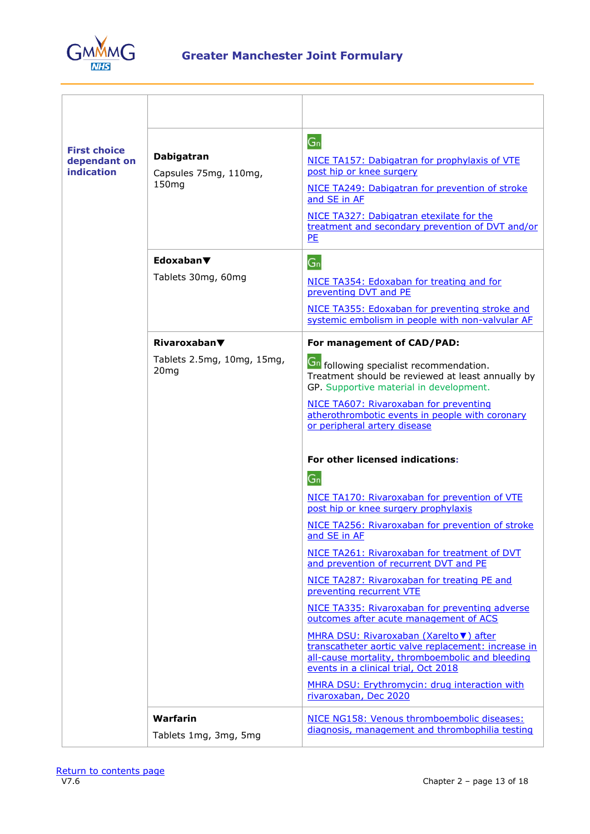

| <b>First choice</b><br>dependant on<br>indication | Dabigatran<br>Capsules 75mg, 110mg,<br>150 <sub>mg</sub> | $G_n$<br>NICE TA157: Dabigatran for prophylaxis of VTE<br>post hip or knee surgery<br>NICE TA249: Dabigatran for prevention of stroke<br>and SE in AF<br>NICE TA327: Dabigatran etexilate for the<br>treatment and secondary prevention of DVT and/or<br>PE                                                                                                                                                                                                                                                                                                                                                                                                                                                                                                  |
|---------------------------------------------------|----------------------------------------------------------|--------------------------------------------------------------------------------------------------------------------------------------------------------------------------------------------------------------------------------------------------------------------------------------------------------------------------------------------------------------------------------------------------------------------------------------------------------------------------------------------------------------------------------------------------------------------------------------------------------------------------------------------------------------------------------------------------------------------------------------------------------------|
|                                                   | Edoxaban▼<br>Tablets 30mg, 60mg                          | $G_n$<br>NICE TA354: Edoxaban for treating and for<br>preventing DVT and PE<br>NICE TA355: Edoxaban for preventing stroke and<br>systemic embolism in people with non-valvular AF                                                                                                                                                                                                                                                                                                                                                                                                                                                                                                                                                                            |
|                                                   | $Rivaroxaban$ $\blacktriangledown$                       | For management of CAD/PAD:                                                                                                                                                                                                                                                                                                                                                                                                                                                                                                                                                                                                                                                                                                                                   |
|                                                   | Tablets 2.5mg, 10mg, 15mg,<br>20 <sub>mg</sub>           | <b>Gn</b> following specialist recommendation.<br>Treatment should be reviewed at least annually by<br>GP. Supportive material in development.<br>NICE TA607: Rivaroxaban for preventing<br>atherothrombotic events in people with coronary<br>or peripheral artery disease<br><b>For other licensed indications:</b><br>$G_n$<br>NICE TA170: Rivaroxaban for prevention of VTE<br>post hip or knee surgery prophylaxis<br>NICE TA256: Rivaroxaban for prevention of stroke<br>and SE in AF<br>NICE TA261: Rivaroxaban for treatment of DVT<br>and prevention of recurrent DVT and PE<br>NICE TA287: Rivaroxaban for treating PE and<br>preventing recurrent VTE<br>NICE TA335: Rivaroxaban for preventing adverse<br>outcomes after acute management of ACS |
|                                                   |                                                          | MHRA DSU: Rivaroxaban (Xarelto V) after<br>transcatheter aortic valve replacement: increase in<br>all-cause mortality, thromboembolic and bleeding<br>events in a clinical trial, Oct 2018<br>MHRA DSU: Erythromycin: drug interaction with<br>rivaroxaban, Dec 2020                                                                                                                                                                                                                                                                                                                                                                                                                                                                                         |
|                                                   | Warfarin<br>Tablets 1mg, 3mg, 5mg                        | NICE NG158: Venous thromboembolic diseases:<br>diagnosis, management and thrombophilia testing                                                                                                                                                                                                                                                                                                                                                                                                                                                                                                                                                                                                                                                               |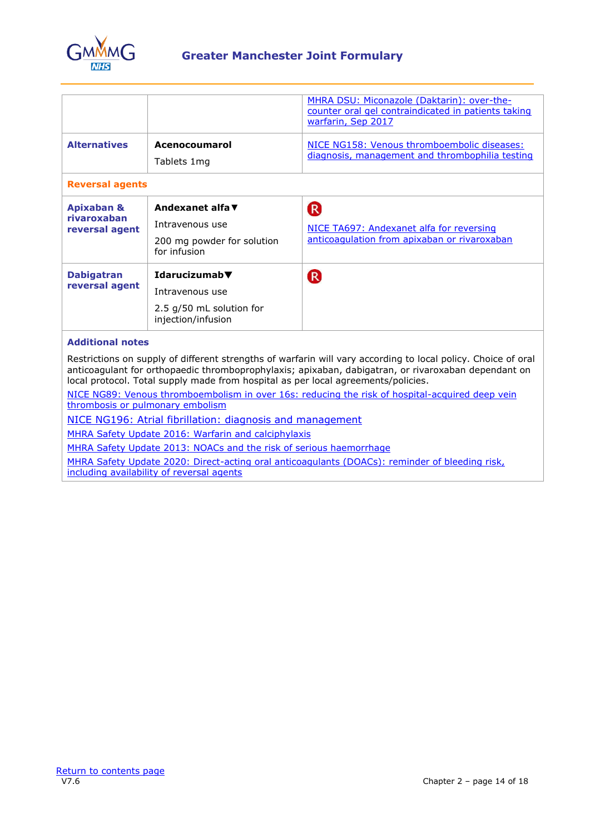

|                                                        |                                                                                                        | MHRA DSU: Miconazole (Daktarin): over-the-<br>counter oral gel contraindicated in patients taking<br>warfarin, Sep 2017 |  |
|--------------------------------------------------------|--------------------------------------------------------------------------------------------------------|-------------------------------------------------------------------------------------------------------------------------|--|
| <b>Alternatives</b>                                    | Acenocoumarol                                                                                          | NICE NG158: Venous thromboembolic diseases:<br>diagnosis, management and thrombophilia testing                          |  |
|                                                        | Tablets 1mg                                                                                            |                                                                                                                         |  |
| <b>Reversal agents</b>                                 |                                                                                                        |                                                                                                                         |  |
| <b>Apixaban &amp;</b><br>rivaroxaban<br>reversal agent | Andexanet alfa ▼<br>Intravenous use<br>200 mg powder for solution<br>for infusion                      | $\overline{\mathsf{R}}$<br>NICE TA697: Andexanet alfa for reversing<br>anticoagulation from apixaban or rivaroxaban     |  |
| <b>Dabigatran</b><br>reversal agent                    | Idarucizumab $\blacktriangledown$<br>Intravenous use<br>2.5 g/50 mL solution for<br>injection/infusion | $\mathsf R$                                                                                                             |  |

## **Additional notes**

Restrictions on supply of different strengths of warfarin will vary according to local policy. Choice of oral anticoagulant for orthopaedic thromboprophylaxis; apixaban, dabigatran, or rivaroxaban dependant on local protocol. Total supply made from hospital as per local agreements/policies.

[NICE NG89: Venous thromboembolism in over 16s: reducing the risk of hospital-acquired deep vein](https://www.nice.org.uk/guidance/ng89)  [thrombosis or pulmonary embolism](https://www.nice.org.uk/guidance/ng89)

[NICE NG196: Atrial fibrillation: diagnosis and management](https://www.nice.org.uk/guidance/ng196)

[MHRA Safety Update 2016: Warfarin and calciphylaxis](https://www.gov.uk/drug-safety-update/warfarin-reports-of-calciphylaxis)

[MHRA Safety Update 2013: NOACs and the risk of serious haemorrhage](https://www.gov.uk/drug-safety-update/new-oral-anticoagulants-apixaban-eliquis-dabigatran-pradaxa-and-rivaroxaban-xarelto)

[MHRA Safety Update 2020: Direct-acting oral anticoagulants \(DOACs\): reminder of bleeding risk,](https://www.gov.uk/drug-safety-update/direct-acting-oral-anticoagulants-doacs-reminder-of-bleeding-risk-including-availability-of-reversal-agents)  [including availability of reversal agents](https://www.gov.uk/drug-safety-update/direct-acting-oral-anticoagulants-doacs-reminder-of-bleeding-risk-including-availability-of-reversal-agents)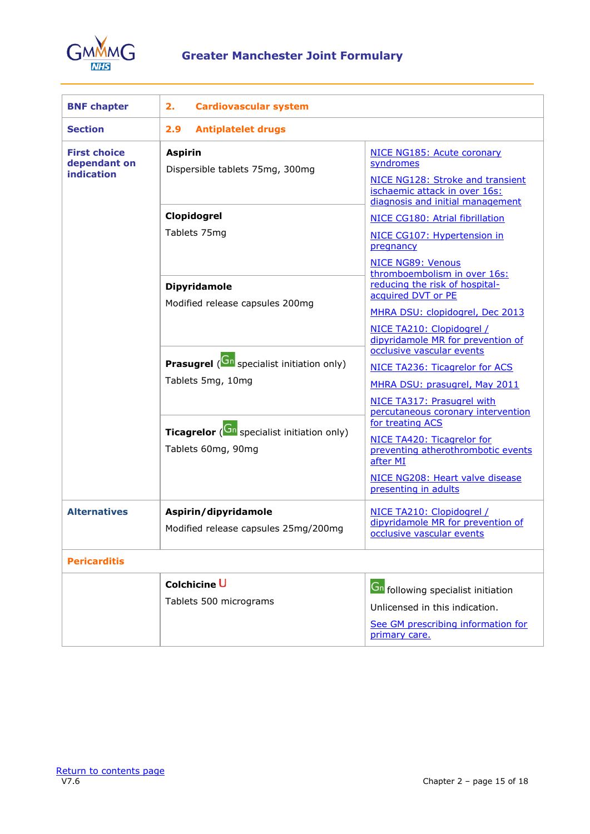

<span id="page-14-0"></span>

| <b>BNF chapter</b>                                | <b>Cardiovascular system</b><br>2.                                            |                                                                                                       |  |
|---------------------------------------------------|-------------------------------------------------------------------------------|-------------------------------------------------------------------------------------------------------|--|
| <b>Section</b>                                    | 2.9<br><b>Antiplatelet drugs</b>                                              |                                                                                                       |  |
| <b>First choice</b><br>dependant on<br>indication | <b>Aspirin</b><br>Dispersible tablets 75mg, 300mg                             | NICE NG185: Acute coronary<br>syndromes                                                               |  |
|                                                   |                                                                               | NICE NG128: Stroke and transient<br>ischaemic attack in over 16s:<br>diagnosis and initial management |  |
|                                                   | Clopidogrel                                                                   | NICE CG180: Atrial fibrillation                                                                       |  |
|                                                   | Tablets 75mg                                                                  | NICE CG107: Hypertension in<br>pregnancy                                                              |  |
|                                                   |                                                                               | NICE NG89: Venous<br>thromboembolism in over 16s:<br>reducing the risk of hospital-                   |  |
|                                                   | <b>Dipyridamole</b>                                                           | acquired DVT or PE                                                                                    |  |
|                                                   | Modified release capsules 200mg                                               | MHRA DSU: clopidogrel, Dec 2013                                                                       |  |
|                                                   |                                                                               | NICE TA210: Clopidogrel /<br>dipyridamole MR for prevention of<br>occlusive vascular events           |  |
|                                                   | <b>Prasugrel</b> ( <b>Gn</b> specialist initiation only)<br>Tablets 5mg, 10mg | NICE TA236: Ticagrelor for ACS                                                                        |  |
|                                                   |                                                                               | MHRA DSU: prasugrel, May 2011                                                                         |  |
|                                                   |                                                                               | NICE TA317: Prasugrel with<br>percutaneous coronary intervention                                      |  |
|                                                   | Ticagrelor (Cn specialist initiation only)                                    | for treating ACS                                                                                      |  |
|                                                   | Tablets 60mg, 90mg                                                            | NICE TA420: Ticagrelor for<br>preventing atherothrombotic events<br>after MI                          |  |
|                                                   |                                                                               | NICE NG208: Heart valve disease<br>presenting in adults                                               |  |
| <b>Alternatives</b>                               | Aspirin/dipyridamole<br>Modified release capsules 25mg/200mg                  | NICE TA210: Clopidogrel /<br>dipyridamole MR for prevention of<br>occlusive vascular events           |  |
| <b>Pericarditis</b>                               |                                                                               |                                                                                                       |  |
|                                                   | Colchicine U                                                                  | <b>Gn</b> following specialist initiation                                                             |  |
|                                                   | Tablets 500 micrograms                                                        | Unlicensed in this indication.                                                                        |  |
|                                                   |                                                                               | See GM prescribing information for<br>primary care.                                                   |  |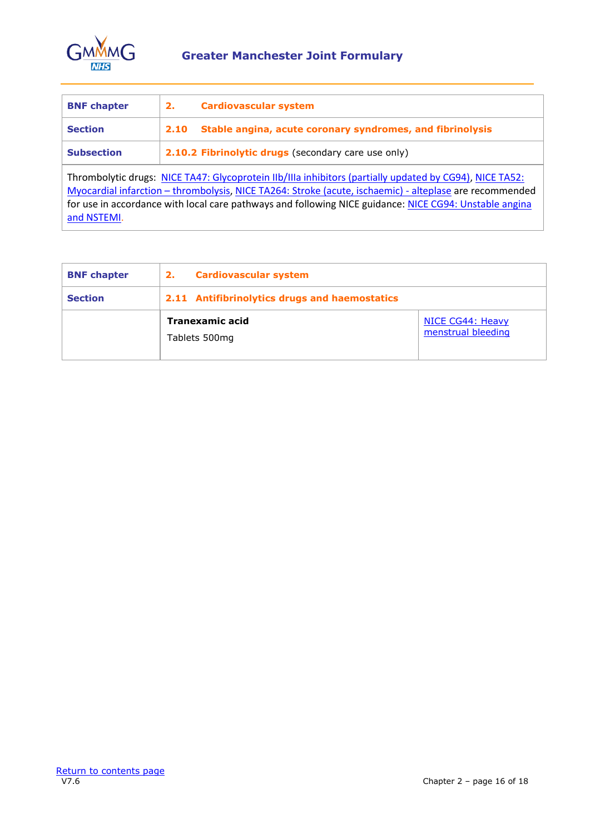

<span id="page-15-0"></span>

| <b>BNF</b> chapter                                                                                                                                                                                                                                                                                                                          | 2.   | <b>Cardiovascular system</b>                              |
|---------------------------------------------------------------------------------------------------------------------------------------------------------------------------------------------------------------------------------------------------------------------------------------------------------------------------------------------|------|-----------------------------------------------------------|
| <b>Section</b>                                                                                                                                                                                                                                                                                                                              | 2.10 | Stable angina, acute coronary syndromes, and fibrinolysis |
| 2.10.2 Fibrinolytic drugs (secondary care use only)<br><b>Subsection</b>                                                                                                                                                                                                                                                                    |      |                                                           |
| Thrombolytic drugs: NICE TA47: Glycoprotein IIb/IIIa inhibitors (partially updated by CG94), NICE TA52:<br>Myocardial infarction - thrombolysis, NICE TA264: Stroke (acute, ischaemic) - alteplase are recommended<br>for use in accordance with local care pathways and following NICE guidance: NICE CG94: Unstable angina<br>and NSTEMI. |      |                                                           |

<span id="page-15-1"></span>

| <b>BNF chapter</b> | <b>Cardiovascular system</b><br>2.            |                                        |
|--------------------|-----------------------------------------------|----------------------------------------|
| <b>Section</b>     | 2.11 Antifibrinolytics drugs and haemostatics |                                        |
|                    | Tranexamic acid<br>Tablets 500mg              | NICE CG44: Heavy<br>menstrual bleeding |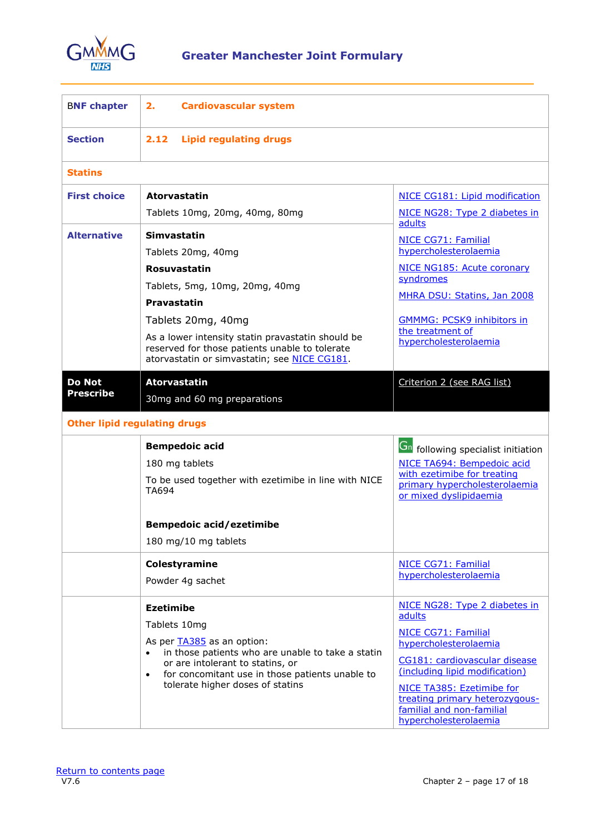

<span id="page-16-0"></span>

| <b>BNF chapter</b>                                                       | 2.<br><b>Cardiovascular system</b>                                                                                                                                                                                                                                                     |                                                                                                                                                                                                                                                                                 |
|--------------------------------------------------------------------------|----------------------------------------------------------------------------------------------------------------------------------------------------------------------------------------------------------------------------------------------------------------------------------------|---------------------------------------------------------------------------------------------------------------------------------------------------------------------------------------------------------------------------------------------------------------------------------|
| <b>Section</b>                                                           | 2.12<br><b>Lipid regulating drugs</b>                                                                                                                                                                                                                                                  |                                                                                                                                                                                                                                                                                 |
| <b>Statins</b>                                                           |                                                                                                                                                                                                                                                                                        |                                                                                                                                                                                                                                                                                 |
| <b>First choice</b>                                                      | <b>Atorvastatin</b><br>Tablets 10mg, 20mg, 40mg, 80mg                                                                                                                                                                                                                                  | NICE CG181: Lipid modification<br>NICE NG28: Type 2 diabetes in                                                                                                                                                                                                                 |
| <b>Alternative</b>                                                       | Simvastatin<br>Tablets 20mg, 40mg<br>Rosuvastatin<br>Tablets, 5mg, 10mg, 20mg, 40mg<br><b>Pravastatin</b><br>Tablets 20mg, 40mg<br>As a lower intensity statin pravastatin should be<br>reserved for those patients unable to tolerate<br>atorvastatin or simvastatin; see NICE CG181. | adults<br>NICE CG71: Familial<br>hypercholesterolaemia<br>NICE NG185: Acute coronary<br>syndromes<br>MHRA DSU: Statins, Jan 2008<br><b>GMMMG: PCSK9 inhibitors in</b><br>the treatment of<br>hypercholesterolaemia                                                              |
| <b>Do Not</b><br><b>Prescribe</b><br><b>Other lipid regulating drugs</b> | <b>Atorvastatin</b><br>30mg and 60 mg preparations                                                                                                                                                                                                                                     | Criterion 2 (see RAG list)                                                                                                                                                                                                                                                      |
|                                                                          | <b>Bempedoic acid</b><br>180 mg tablets<br>To be used together with ezetimibe in line with NICE<br><b>TA694</b><br><b>Bempedoic acid/ezetimibe</b><br>180 mg/10 mg tablets                                                                                                             | <b>Gn</b> following specialist initiation<br>NICE TA694: Bempedoic acid<br>with ezetimibe for treating<br>primary hypercholesterolaemia<br>or mixed dyslipidaemia                                                                                                               |
|                                                                          | Colestyramine<br>Powder 4g sachet                                                                                                                                                                                                                                                      | NICE CG71: Familial<br>hypercholesterolaemia                                                                                                                                                                                                                                    |
|                                                                          | <b>Ezetimibe</b><br>Tablets 10mg<br>As per <b>TA385</b> as an option:<br>in those patients who are unable to take a statin<br>or are intolerant to statins, or<br>for concomitant use in those patients unable to<br>$\bullet$<br>tolerate higher doses of statins                     | NICE NG28: Type 2 diabetes in<br>adults<br>NICE CG71: Familial<br>hypercholesterolaemia<br>CG181: cardiovascular disease<br>(including lipid modification)<br>NICE TA385: Ezetimibe for<br>treating primary heterozygous-<br>familial and non-familial<br>hypercholesterolaemia |